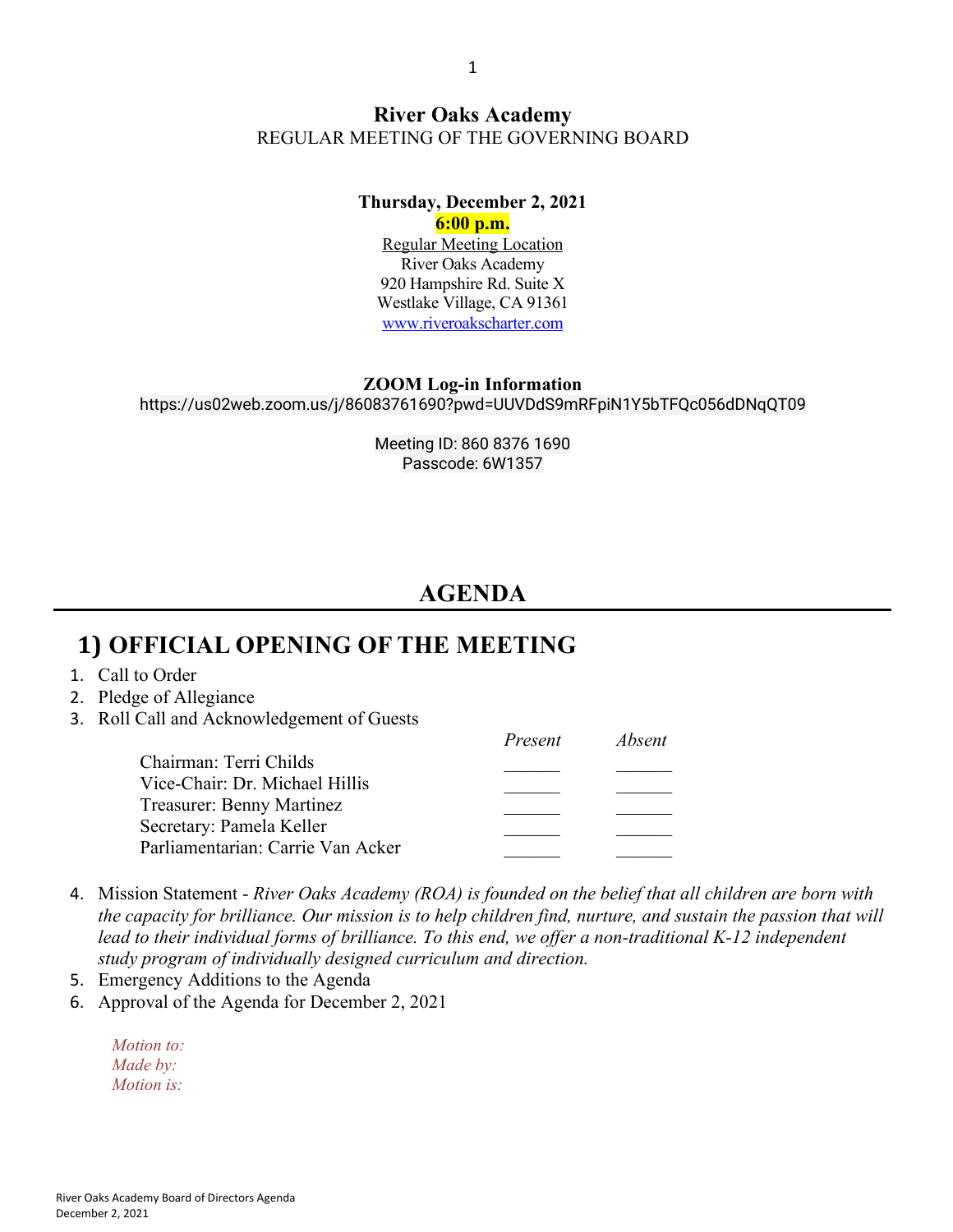#### **River Oaks Academy** REGULAR MEETING OF THE GOVERNING BOARD

#### **Thursday, December 2, 2021**

**6:00 p.m.** Regular Meeting Location River Oaks Academy 920 Hampshire Rd. Suite X Westlake Village, CA 91361 www.riveroakscharter.com

#### **ZOOM Log-in Information**

https://us02web.zoom.us/j/86083761690?pwd=UUVDdS9mRFpiN1Y5bTFQc056dDNqQT09

Meeting ID: 860 8376 1690 Passcode: 6W1357

## **AGENDA**

### **1) OFFICIAL OPENING OF THE MEETING**

- 1. Call to Order
- 2. Pledge of Allegiance
- 3. Roll Call and Acknowledgement of Guests

|                                   | Present | <i>Absent</i> |
|-----------------------------------|---------|---------------|
| Chairman: Terri Childs            |         |               |
| Vice-Chair: Dr. Michael Hillis    |         |               |
| Treasurer: Benny Martinez         |         |               |
| Secretary: Pamela Keller          |         |               |
| Parliamentarian: Carrie Van Acker |         |               |
|                                   |         |               |

- 4. Mission Statement *River Oaks Academy (ROA) is founded on the belief that all children are born with the capacity for brilliance. Our mission is to help children find, nurture, and sustain the passion that will lead to their individual forms of brilliance. To this end, we offer a non-traditional K-12 independent study program of individually designed curriculum and direction.*
- 5. Emergency Additions to the Agenda
- 6. Approval of the Agenda for December 2, 2021

| Motion to:        |
|-------------------|
| Made by:          |
| <i>Motion is:</i> |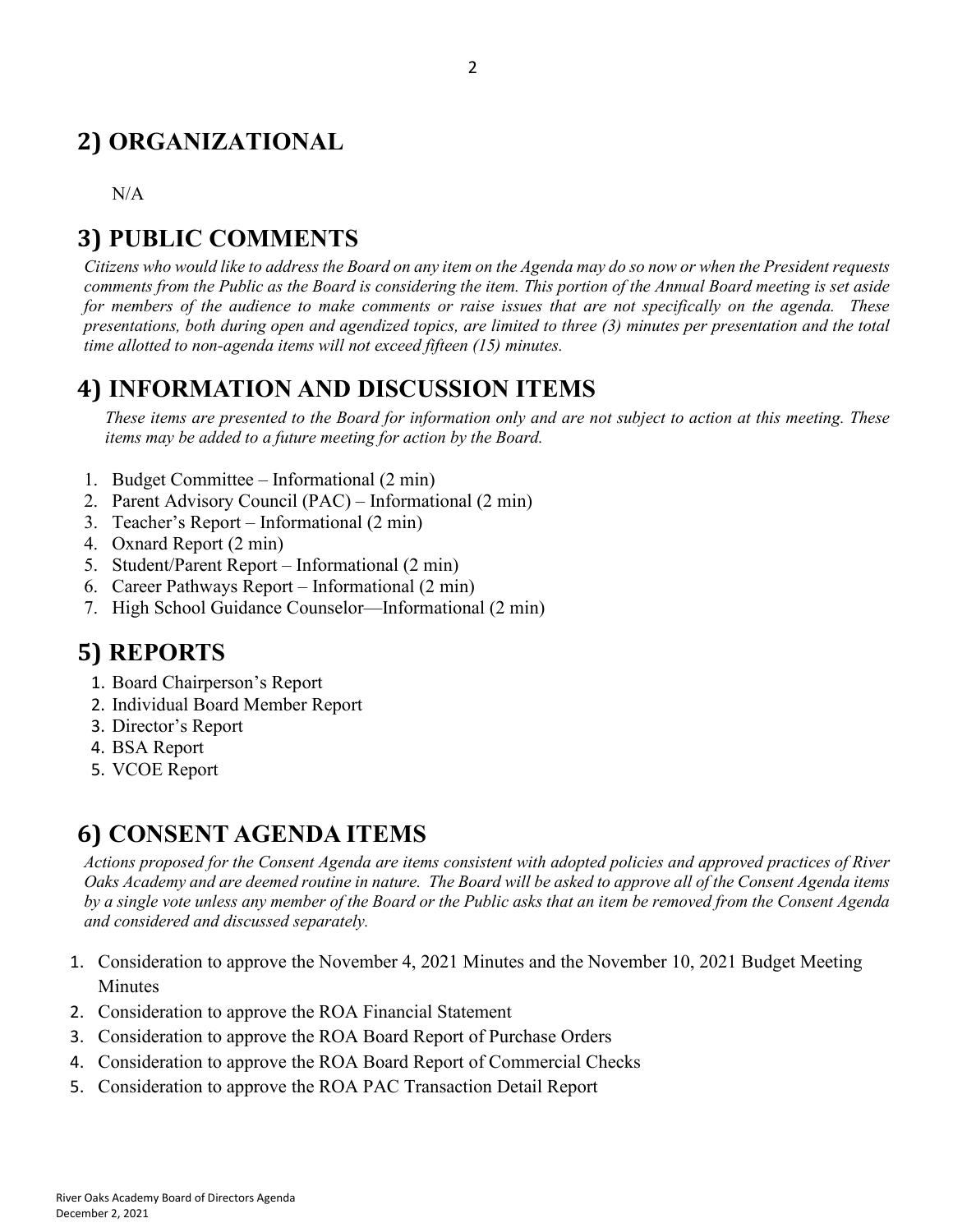# **2) ORGANIZATIONAL**

N/A

# **3) PUBLIC COMMENTS**

*Citizens who would like to address the Board on any item on the Agenda may do so now or when the President requests comments from the Public as the Board is considering the item. This portion of the Annual Board meeting is set aside for members of the audience to make comments or raise issues that are not specifically on the agenda. These presentations, both during open and agendized topics, are limited to three (3) minutes per presentation and the total time allotted to non-agenda items will not exceed fifteen (15) minutes.*

## **4) INFORMATION AND DISCUSSION ITEMS**

*These items are presented to the Board for information only and are not subject to action at this meeting. These items may be added to a future meeting for action by the Board.*

- 1. Budget Committee Informational (2 min)
- 2. Parent Advisory Council (PAC) Informational (2 min)
- 3. Teacher's Report Informational (2 min)
- 4. Oxnard Report (2 min)
- 5. Student/Parent Report Informational (2 min)
- 6. Career Pathways Report Informational (2 min)
- 7. High School Guidance Counselor—Informational (2 min)

# **5) REPORTS**

- 1. Board Chairperson's Report
- 2. Individual Board Member Report
- 3. Director's Report
- 4. BSA Report
- 5. VCOE Report

# **6) CONSENT AGENDA ITEMS**

*Actions proposed for the Consent Agenda are items consistent with adopted policies and approved practices of River Oaks Academy and are deemed routine in nature. The Board will be asked to approve all of the Consent Agenda items by a single vote unless any member of the Board or the Public asks that an item be removed from the Consent Agenda and considered and discussed separately.*

- 1. Consideration to approve the November 4, 2021 Minutes and the November 10, 2021 Budget Meeting Minutes
- 2. Consideration to approve the ROA Financial Statement
- 3. Consideration to approve the ROA Board Report of Purchase Orders
- 4. Consideration to approve the ROA Board Report of Commercial Checks
- 5. Consideration to approve the ROA PAC Transaction Detail Report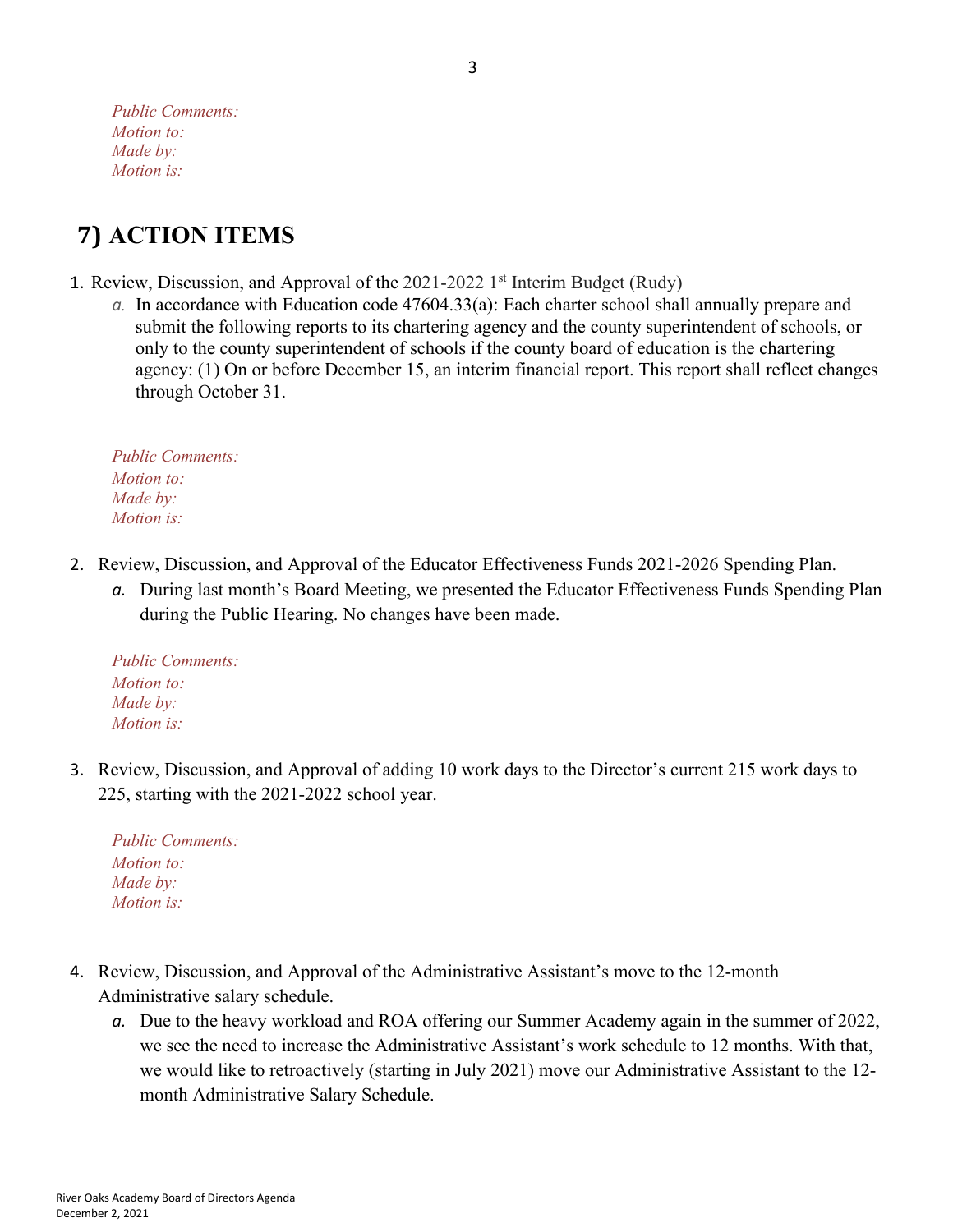*Public Comments: Motion to: Made by: Motion is:*

# **7) ACTION ITEMS**

- 1. Review, Discussion, and Approval of the  $2021-2022$  1<sup>st</sup> Interim Budget (Rudy)
	- *a.* In accordance with Education code 47604.33(a): Each charter school shall annually prepare and submit the following reports to its chartering agency and the county superintendent of schools, or only to the county superintendent of schools if the county board of education is the chartering agency: (1) On or before December 15, an interim financial report. This report shall reflect changes through October 31.

*Public Comments: Motion to: Made by: Motion is:*

- 2. Review, Discussion, and Approval of the Educator Effectiveness Funds 2021-2026 Spending Plan.
	- *a.* During last month's Board Meeting, we presented the Educator Effectiveness Funds Spending Plan during the Public Hearing. No changes have been made.

*Public Comments: Motion to: Made by: Motion is:*

3. Review, Discussion, and Approval of adding 10 work days to the Director's current 215 work days to 225, starting with the 2021-2022 school year.

*Public Comments: Motion to: Made by: Motion is:*

- 4. Review, Discussion, and Approval of the Administrative Assistant's move to the 12-month Administrative salary schedule.
	- *a.* Due to the heavy workload and ROA offering our Summer Academy again in the summer of 2022, we see the need to increase the Administrative Assistant's work schedule to 12 months. With that, we would like to retroactively (starting in July 2021) move our Administrative Assistant to the 12 month Administrative Salary Schedule.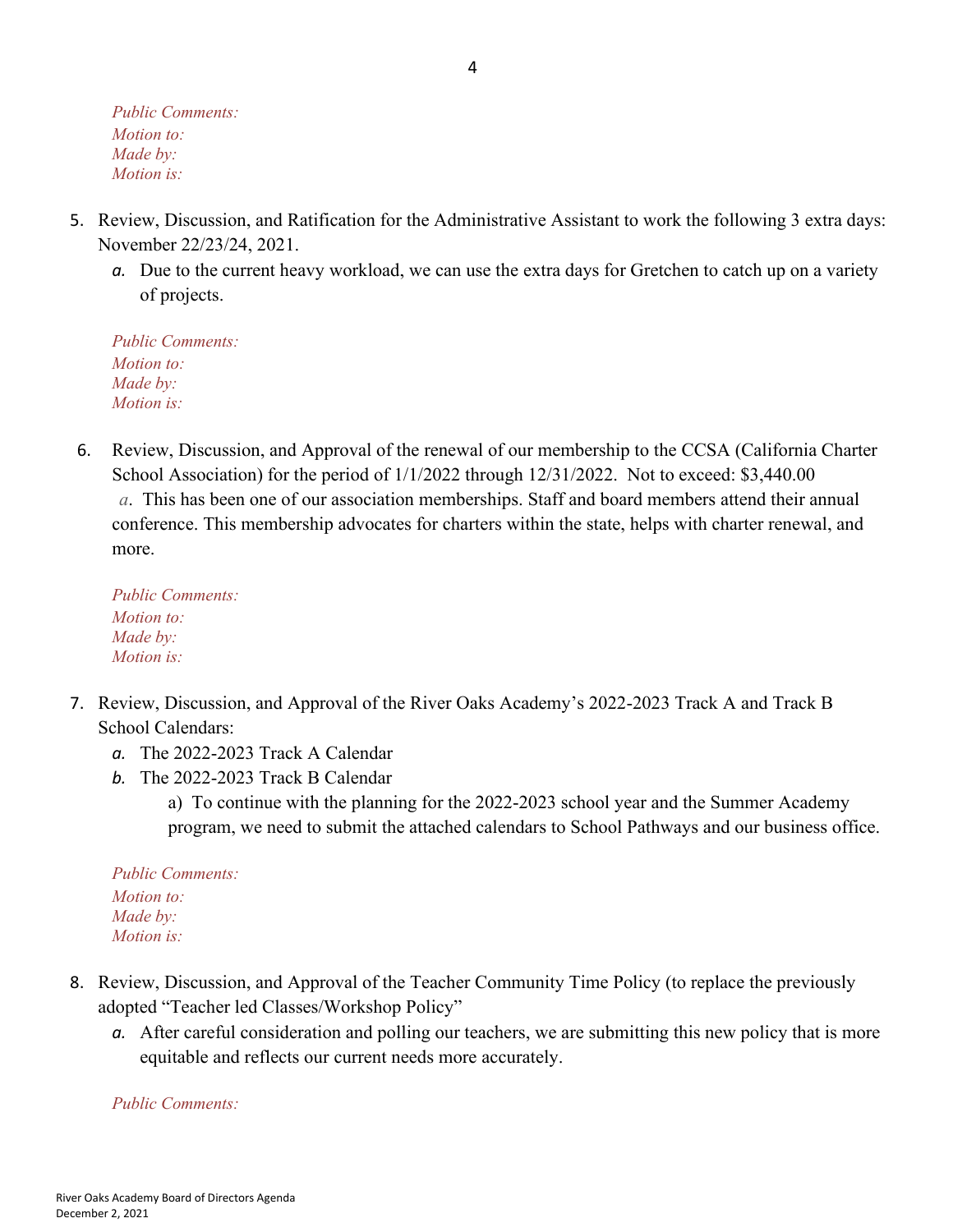*Public Comments: Motion to: Made by: Motion is:*

- 5. Review, Discussion, and Ratification for the Administrative Assistant to work the following 3 extra days: November 22/23/24, 2021.
	- *a.* Due to the current heavy workload, we can use the extra days for Gretchen to catch up on a variety of projects.

*Public Comments: Motion to: Made by: Motion is:*

6. Review, Discussion, and Approval of the renewal of our membership to the CCSA (California Charter School Association) for the period of  $1/1/2022$  through  $12/31/2022$ . Not to exceed: \$3,440.00 *a*. This has been one of our association memberships. Staff and board members attend their annual conference. This membership advocates for charters within the state, helps with charter renewal, and more.

*Public Comments: Motion to: Made by: Motion is:*

- 7. Review, Discussion, and Approval of the River Oaks Academy's 2022-2023 Track A and Track B School Calendars:
	- *a.* The 2022-2023 Track A Calendar
	- *b.* The 2022-2023 Track B Calendar

a) To continue with the planning for the 2022-2023 school year and the Summer Academy program, we need to submit the attached calendars to School Pathways and our business office.

*Public Comments: Motion to: Made by: Motion is:*

- 8. Review, Discussion, and Approval of the Teacher Community Time Policy (to replace the previously adopted "Teacher led Classes/Workshop Policy"
	- *a.* After careful consideration and polling our teachers, we are submitting this new policy that is more equitable and reflects our current needs more accurately.

*Public Comments:*